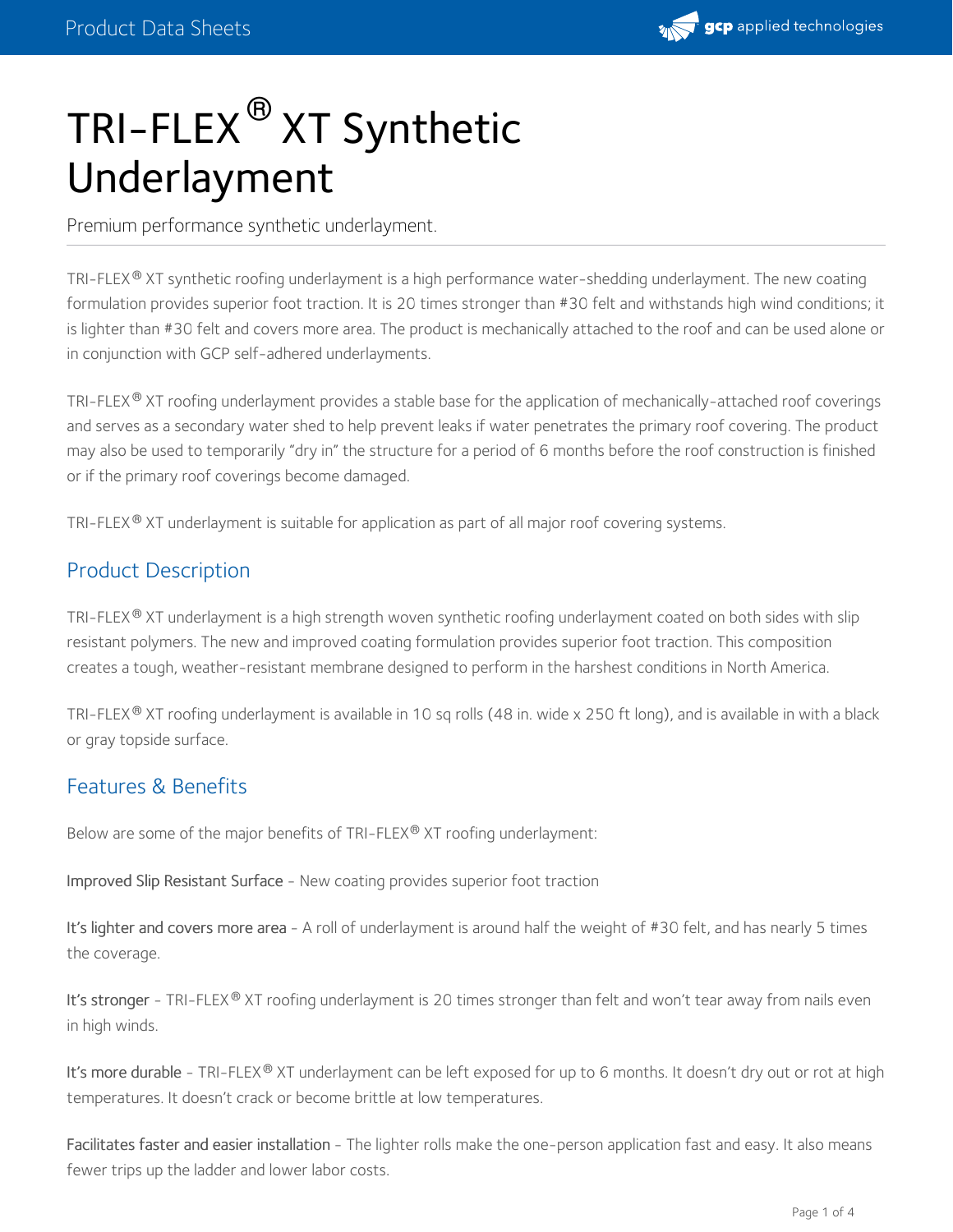

# TRI-FLEX® XT Synthetic Underlayment

Premium performance synthetic underlayment.

TRI-FLEX® XT synthetic roofing underlayment is a high performance water-shedding underlayment. The new coating formulation provides superior foot traction. It is 20 times stronger than #30 felt and withstands high wind conditions; it is lighter than #30 felt and covers more area. The product is mechanically attached to the roof and can be used alone or in conjunction with GCP self-adhered underlayments.

TRI-FLEX®XT roofing underlayment provides a stable base for the application of mechanically-attached roof coverings and serves as a secondary water shed to help prevent leaks if water penetrates the primary roof covering. The product may also be used to temporarily "dry in" the structure for a period of 6 months before the roof construction is finished or if the primary roof coverings become damaged.

TRI-FLEX $^\circledR$  XT underlayment is suitable for application as part of all major roof covering systems.

### Product Description

TRI-FLEX $^\circledR$  XT underlayment is a high strength woven synthetic roofing underlayment coated on both sides with slip resistant polymers. The new and improved coating formulation provides superior foot traction. This composition creates a tough, weather-resistant membrane designed to perform in the harshest conditions in North America.

TRI-FLEX $^\circledR$  XT roofing underlayment is available in 10 sq rolls (48 in. wide x 250 ft long), and is available in with a black or gray topside surface.

#### Features & Benefits

Below are some of the major benefits of TRI-FLEX® XT roofing underlayment:

Improved Slip Resistant Surface - New coating provides superior foot traction

It's lighter and covers more area - A roll of underlayment is around half the weight of #30 felt, and has nearly 5 times the coverage.

I**t's stronger -** TRI-FLEX® XT roofing underlayment is 20 times stronger than felt and won't tear away from nails even in high winds.

I**t's more durable -** TRI-FLEX® XT underlayment can be left exposed for up to 6 months. It doesn't dry out or rot at high temperatures. It doesn't crack or become brittle at low temperatures.

Facilitates faster and easier installation - The lighter rolls make the one-person application fast and easy. It also means fewer trips up the ladder and lower labor costs.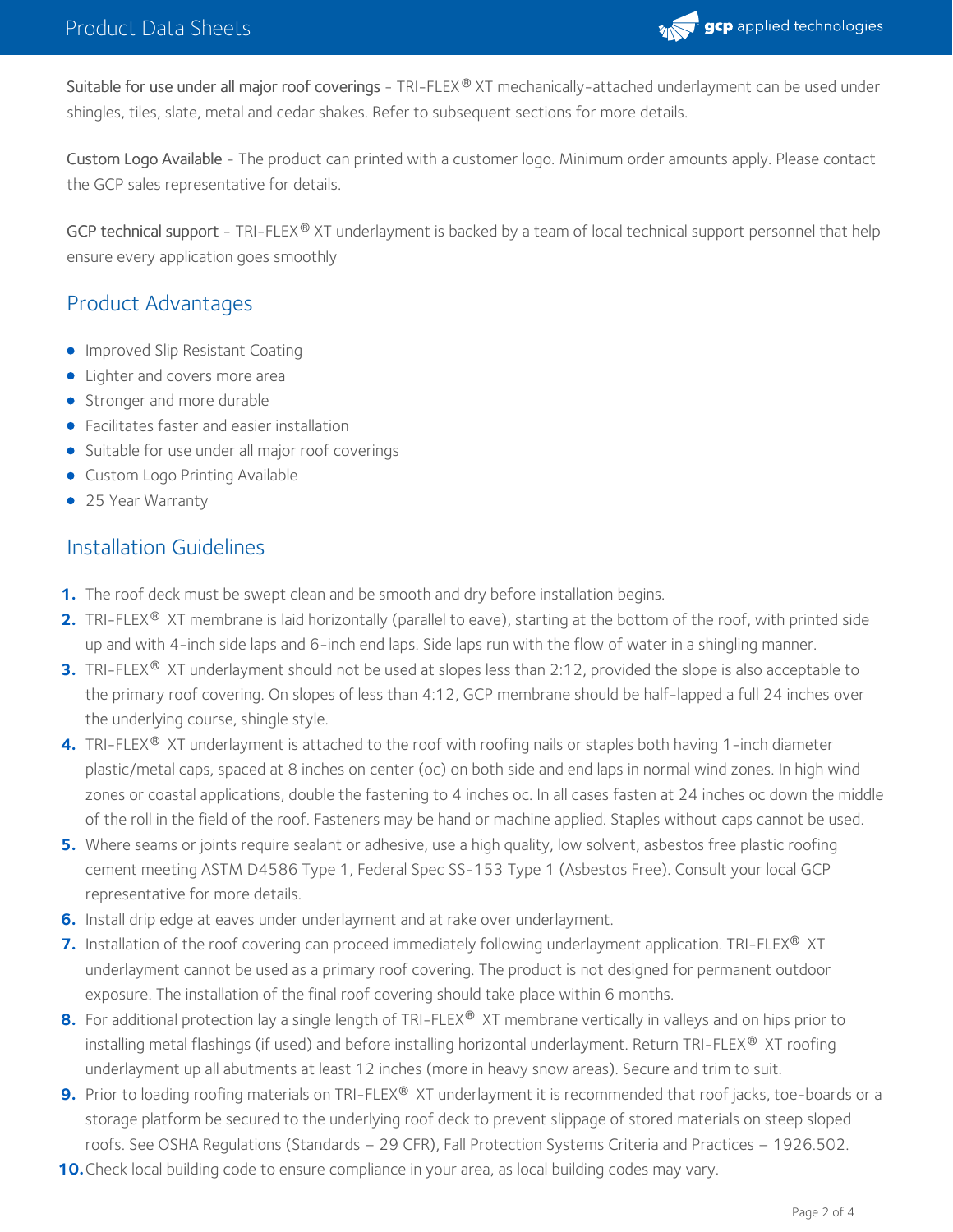

Suitable for use under all major roof coverings - TRI-FLEX® XT mechanically-attached underlayment can be used under shingles, tiles, slate, metal and cedar shakes. Refer to subsequent sections for more details.

Custom Logo Available - The product can printed with a customer logo. Minimum order amounts apply. Please contact the GCP sales representative for details.

GCP technical support - TRI-FLEX® XT underlayment is backed by a team of local technical support personnel that help ensure every application goes smoothly

## Product Advantages

- **Improved Slip Resistant Coating**
- Lighter and covers more area
- Stronger and more durable
- Facilitates faster and easier installation
- Suitable for use under all major roof coverings
- Custom Logo Printing Available
- 25 Year Warranty

#### Installation Guidelines

- **1.** The roof deck must be swept clean and be smooth and dry before installation begins.
- **2.** TRI-FLEX® XT membrane is laid horizontally (parallel to eave), starting at the bottom of the roof, with printed side up and with 4-inch side laps and 6-inch end laps. Side laps run with the flow of water in a shinglin
- **3.** TRI-FLEX® XT underlayment should not be used at slopes less than 2:12, provided the slope is also acceptable to the primary roof covering. On slopes of less than 4:12, GCP membrane should be half-lapped a full 24 inches over the underlying course, shingle style.
- 4. TRI-FLEX® XT underlayment is attached to the roof with roofing nails or staples both having 1-inch diameter plastic/metal caps, spaced at 8 inches on center (oc) on both side and end laps in normal wind zones. In high wind zones or coastal applications, double the fastening to 4 inches oc. In all cases fasten at 24 inches oc down the middle of the roll in the field of the roof. Fasteners may be hand or machine applied. Staples without caps cannot be used.
- Where seams or joints require sealant or adhesive, use a high quality, low solvent, asbestos free plastic roofing **5.** cement meeting ASTM D4586 Type 1, Federal Spec SS-153 Type 1 (Asbestos Free). Consult your local GCP representative for more details.
- **6.** Install drip edge at eaves under underlayment and at rake over underlayment.
- **7.** Installation of the roof covering can proceed immediately following underlayment application. TRI-FLEX® XT underlayment cannot be used as a primary roof covering. The product is not designed for permanent outdoor exposure. The installation of the final roof covering should take place within 6 months.
- **8.** For additional protection lay a single length of TRI-FLEX® XT membrane vertically in valleys and on hips prior to installing metal flashings (if used) and before installing horizontal underlayment. Return TRI-FLEX® XT roofing underlayment up all abutments at least 12 inches (more in heavy snow areas). Secure and trim to suit.
- **9.** Prior to loading roofing materials on TRI-FLEX® XT underlayment it is recommended that roof jacks, toe-boards or a storage platform be secured to the underlying roof deck to prevent slippage of stored materials on steep sloped roofs. See OSHA Regulations (Standards – 29 CFR), Fall Protection Systems Criteria and Practices – 1926.502.
- **10.** Check local building code to ensure compliance in your area, as local building codes may vary.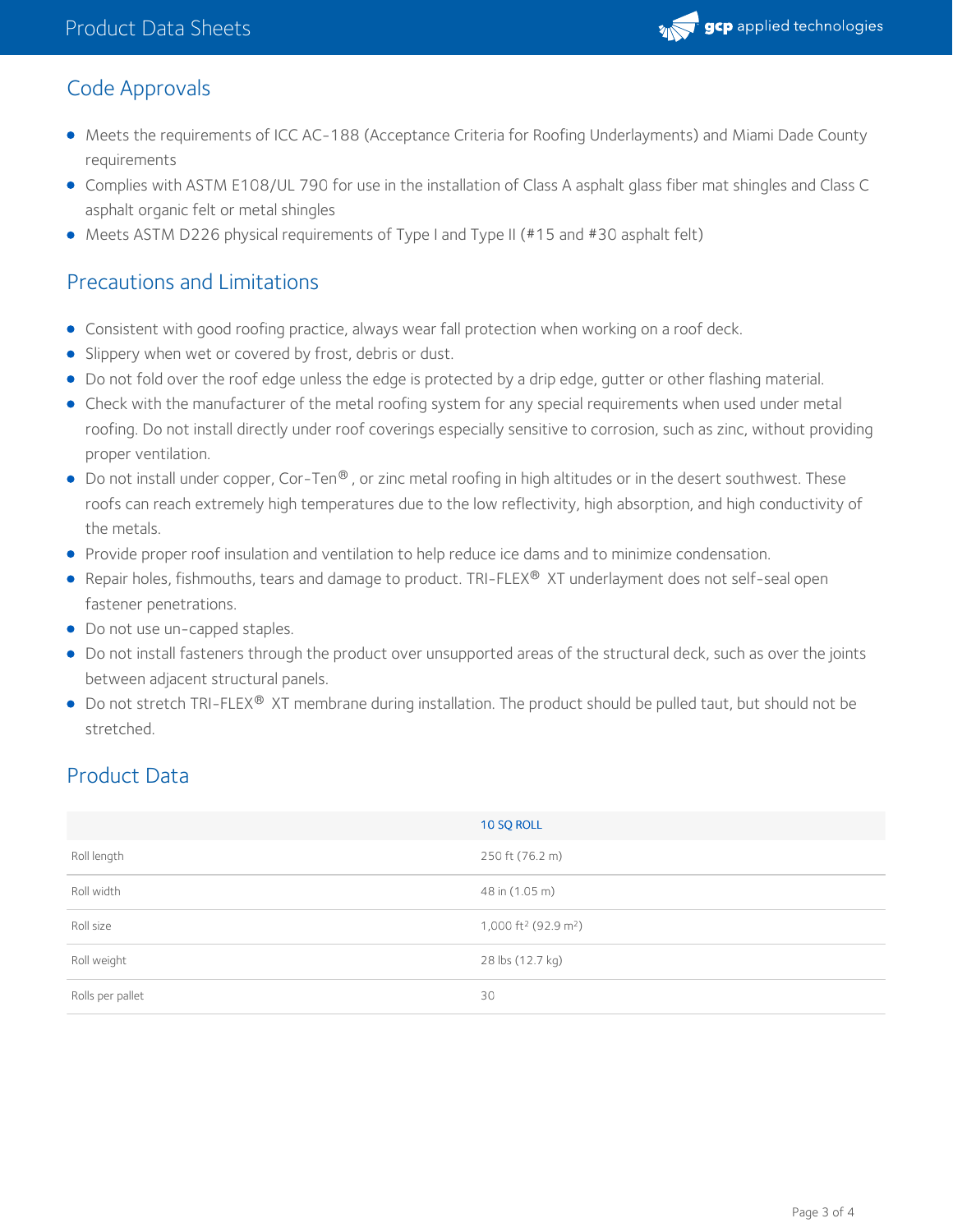

## Code Approvals

- Meets the requirements of ICC AC-188 (Acceptance Criteria for Roofing Underlayments) and Miami Dade County requirements
- Complies with ASTM E108/UL 790 for use in the installation of Class A asphalt glass fiber mat shingles and Class C asphalt organic felt or metal shingles
- Meets ASTM D226 physical requirements of Type I and Type II (#15 and #30 asphalt felt)

## Precautions and Limitations

- Consistent with good roofing practice, always wear fall protection when working on a roof deck.
- **Slippery when wet or covered by frost, debris or dust.**
- Do not fold over the roof edge unless the edge is protected by a drip edge, gutter or other flashing material.
- Check with the manufacturer of the metal roofing system for any special requirements when used under metal roofing. Do not install directly under roof coverings especially sensitive to corrosion, such as zinc, without providing proper ventilation.
- Do not install under copper, Cor-Ten® , or zinc metal roofing in high altitudes or in the desert southwest. These roofs can reach extremely high temperatures due to the low reflectivity, high absorption, and high conductivity of the metals.
- Provide proper roof insulation and ventilation to help reduce ice dams and to minimize condensation.
- Repair holes, fishmouths, tears and damage to product. TRI-FLEX® XT underlayment does not self-seal open fastener penetrations.
- Do not use un-capped staples.
- Do not install fasteners through the product over unsupported areas of the structural deck, such as over the joints between adjacent structural panels.
- Do not stretch TRI-FLEX® XT membrane during installation. The product should be pulled taut, but should not be stretched.

## Product Data

|                  | 10 SQ ROLL                                   |
|------------------|----------------------------------------------|
| Roll length      | 250 ft (76.2 m)                              |
| Roll width       | 48 in (1.05 m)                               |
| Roll size        | 1,000 ft <sup>2</sup> (92.9 m <sup>2</sup> ) |
| Roll weight      | 28 lbs (12.7 kg)                             |
| Rolls per pallet | 30                                           |